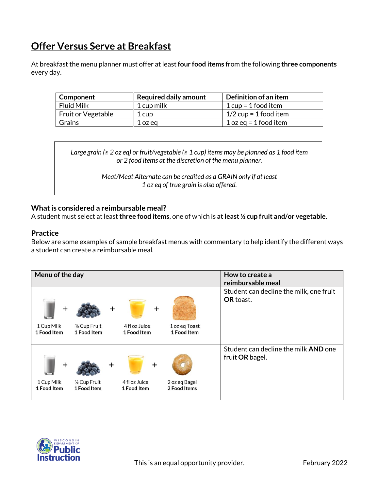## **Offer Versus Serve at Breakfast**

At breakfast the menu planner must offer at least **four food items** from the following **three components** every day.

| Component          | <b>Required daily amount</b> | Definition of an item   |
|--------------------|------------------------------|-------------------------|
| Fluid Milk         | 1 cup milk                   | $1 cup = 1 food item$   |
| Fruit or Vegetable | 1 cup                        | $1/2$ cup = 1 food item |
| Grains             | 1 oz eg                      | 1 oz eg = 1 food item   |

*Large grain (≥ 2 oz eq) or fruit/vegetable (≥ 1 cup) items may be planned as 1 food item or 2 food items at the discretion of the menu planner.*

> *Meat/Meat Alternate can be credited as a GRAIN only if at least 1 oz eq of true grain is also offered.*

## **What is considered a reimbursable meal?**

A student must select at least **three food items**, one of which is **at least ½ cup fruit and/or vegetable**.

## **Practice**

Below are some examples of sample breakfast menus with commentary to help identify the different ways a student can create a reimbursable meal.



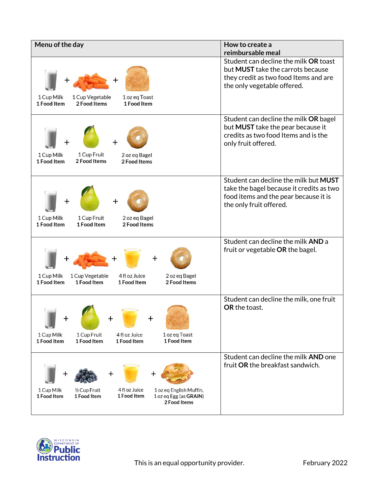| Menu of the day                                                                                                                                                | How to create a<br>reimbursable meal                                                                                                                      |
|----------------------------------------------------------------------------------------------------------------------------------------------------------------|-----------------------------------------------------------------------------------------------------------------------------------------------------------|
| 1 Cup Vegetable<br>1 oz eq Toast<br>1 Cup Milk<br>1 Food Item<br>2 Food Items<br>1 Food Item                                                                   | Student can decline the milk OR toast<br>but <b>MUST</b> take the carrots because<br>they credit as two food Items and are<br>the only vegetable offered. |
| 1 Cup Fruit<br>1 Cup Milk<br>2 oz eg Bagel<br>2 Food Items<br>1 Food Item<br>2 Food Items                                                                      | Student can decline the milk OR bagel<br>but MUST take the pear because it<br>credits as two food Items and is the<br>only fruit offered.                 |
| 1 Cup Milk<br>1 Cup Fruit<br>2 oz eq Bagel<br>1 Food Item<br>1 Food Item<br>2 Food Items                                                                       | Student can decline the milk but MUST<br>take the bagel because it credits as two<br>food items and the pear because it is<br>the only fruit offered.     |
| 1 Cup Milk<br>1 Cup Vegetable<br>4 fl oz Juice<br>2 oz eq Bagel<br>1 Food Item<br>1 Food Item<br>1 Food Item<br>2 Food Items                                   | Student can decline the milk AND a<br>fruit or vegetable OR the bagel.                                                                                    |
| +<br>1 Cup Milk<br>1 Cup Fruit<br>4 fl oz Juice<br>1 oz eq Toast<br>1 Food Item<br>1 Food Item<br>1 Food Item<br>1 Food Item                                   | Student can decline the milk, one fruit<br>OR the toast.                                                                                                  |
| 4 fl oz Juice<br>1/2 Cup Fruit<br>1 oz eq English Muffin,<br>1 Cup Milk<br>1 Food Item<br>1 oz eq Egg (as GRAIN)<br>1 Food Item<br>1 Food Item<br>2 Food Items | Student can decline the milk AND one<br>fruit OR the breakfast sandwich.                                                                                  |